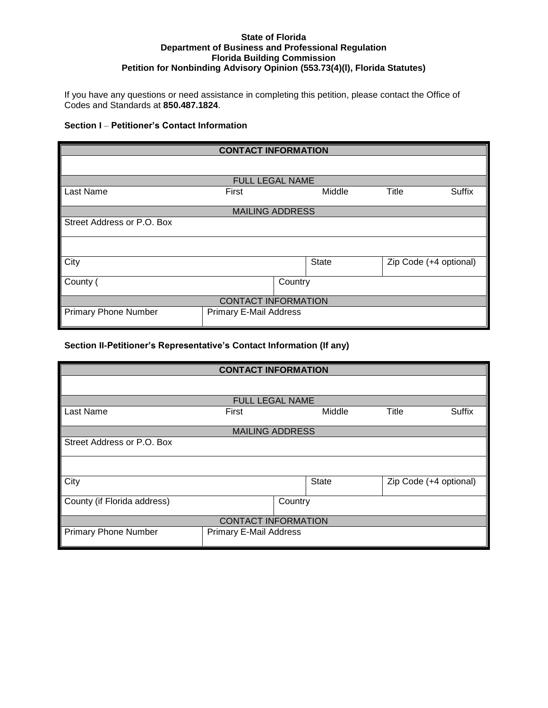## **State of Florida Department of Business and Professional Regulation Florida Building Commission Petition for Nonbinding Advisory Opinion (553.73(4)(l), Florida Statutes)**

If you have any questions or need assistance in completing this petition, please contact the Office of Codes and Standards at **850.487.1824**.

## **Section I** – **Petitioner's Contact Information**

| <b>CONTACT INFORMATION</b>  |                        |        |                        |        |  |
|-----------------------------|------------------------|--------|------------------------|--------|--|
|                             |                        |        |                        |        |  |
| <b>FULL LEGAL NAME</b>      |                        |        |                        |        |  |
| Last Name                   | First                  | Middle | Title                  | Suffix |  |
|                             | <b>MAILING ADDRESS</b> |        |                        |        |  |
|                             |                        |        |                        |        |  |
| Street Address or P.O. Box  |                        |        |                        |        |  |
|                             |                        |        |                        |        |  |
| City                        | State                  |        | Zip Code (+4 optional) |        |  |
| County (                    | Country                |        |                        |        |  |
| <b>CONTACT INFORMATION</b>  |                        |        |                        |        |  |
| <b>Primary Phone Number</b> | Primary E-Mail Address |        |                        |        |  |

## **Section II-Petitioner's Representative's Contact Information (If any)**

| <b>CONTACT INFORMATION</b>  |                               |  |        |       |                        |
|-----------------------------|-------------------------------|--|--------|-------|------------------------|
|                             |                               |  |        |       |                        |
|                             | <b>FULL LEGAL NAME</b>        |  |        |       |                        |
| Last Name                   | First                         |  | Middle | Title | Suffix                 |
|                             | <b>MAILING ADDRESS</b>        |  |        |       |                        |
| Street Address or P.O. Box  |                               |  |        |       |                        |
|                             |                               |  |        |       |                        |
| City                        |                               |  | State  |       | Zip Code (+4 optional) |
| County (if Florida address) | Country                       |  |        |       |                        |
| <b>CONTACT INFORMATION</b>  |                               |  |        |       |                        |
| <b>Primary Phone Number</b> | <b>Primary E-Mail Address</b> |  |        |       |                        |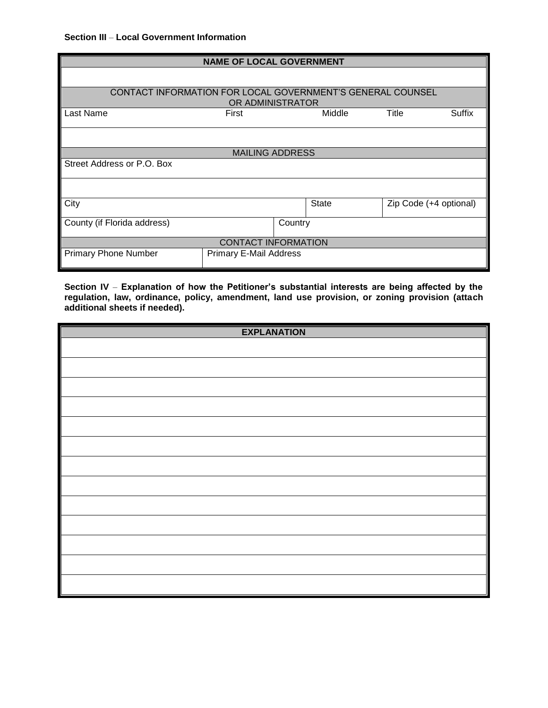| <b>NAME OF LOCAL GOVERNMENT</b>                                                |                               |  |              |       |                        |
|--------------------------------------------------------------------------------|-------------------------------|--|--------------|-------|------------------------|
|                                                                                |                               |  |              |       |                        |
|                                                                                |                               |  |              |       |                        |
| CONTACT INFORMATION FOR LOCAL GOVERNMENT'S GENERAL COUNSEL<br>OR ADMINISTRATOR |                               |  |              |       |                        |
| Last Name                                                                      | First                         |  | Middle       | Title | Suffix                 |
|                                                                                |                               |  |              |       |                        |
|                                                                                | <b>MAILING ADDRESS</b>        |  |              |       |                        |
| Street Address or P.O. Box                                                     |                               |  |              |       |                        |
|                                                                                |                               |  |              |       |                        |
| City                                                                           |                               |  | <b>State</b> |       | Zip Code (+4 optional) |
| County (if Florida address)                                                    | Country                       |  |              |       |                        |
| <b>CONTACT INFORMATION</b>                                                     |                               |  |              |       |                        |
| <b>Primary Phone Number</b>                                                    | <b>Primary E-Mail Address</b> |  |              |       |                        |

**Section IV** – **Explanation of how the Petitioner's substantial interests are being affected by the regulation, law, ordinance, policy, amendment, land use provision, or zoning provision (attach additional sheets if needed).** 

| <b>EXPLANATION</b> |
|--------------------|
|                    |
|                    |
|                    |
|                    |
|                    |
|                    |
|                    |
|                    |
|                    |
|                    |
|                    |
|                    |
|                    |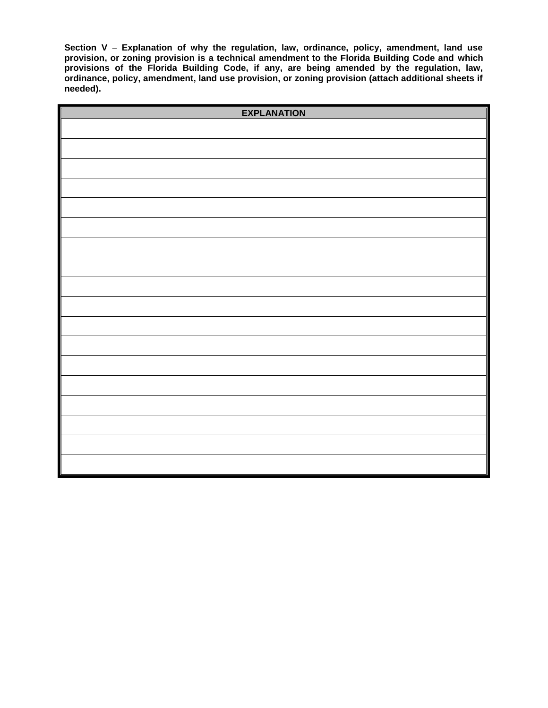**Section V** – **Explanation of why the regulation, law, ordinance, policy, amendment, land use provision, or zoning provision is a technical amendment to the Florida Building Code and which provisions of the Florida Building Code, if any, are being amended by the regulation, law, ordinance, policy, amendment, land use provision, or zoning provision (attach additional sheets if needed).** 

| <b>EXPLANATION</b> |  |
|--------------------|--|
|                    |  |
|                    |  |
|                    |  |
|                    |  |
|                    |  |
|                    |  |
|                    |  |
|                    |  |
|                    |  |
|                    |  |
|                    |  |
|                    |  |
|                    |  |
|                    |  |
|                    |  |
|                    |  |
|                    |  |
|                    |  |
|                    |  |